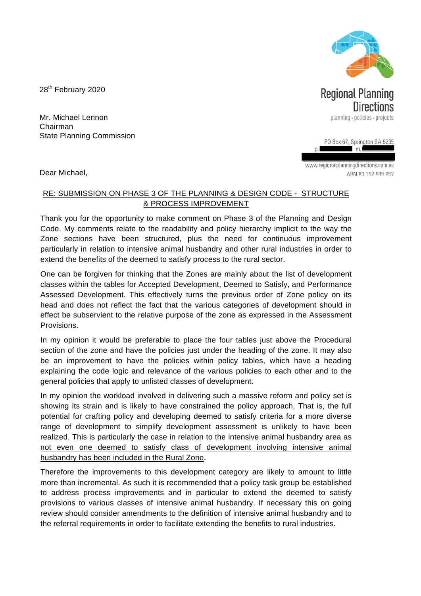28<sup>th</sup> February 2020

Mr. Michael Lennon Chairman State Planning Commission

Dear Michael,

www.regionalplanningdirections.com.au ARN 80 152 935 852

 $\mathbf{D}$ 

## RE: SUBMISSION ON PHASE 3 OF THE PLANNING & DESIGN CODE - STRUCTURE & PROCESS IMPROVEMENT

Thank you for the opportunity to make comment on Phase 3 of the Planning and Design Code. My comments relate to the readability and policy hierarchy implicit to the way the Zone sections have been structured, plus the need for continuous improvement particularly in relation to intensive animal husbandry and other rural industries in order to extend the benefits of the deemed to satisfy process to the rural sector.

One can be forgiven for thinking that the Zones are mainly about the list of development classes within the tables for Accepted Development, Deemed to Satisfy, and Performance Assessed Development. This effectively turns the previous order of Zone policy on its head and does not reflect the fact that the various categories of development should in effect be subservient to the relative purpose of the zone as expressed in the Assessment Provisions.

In my opinion it would be preferable to place the four tables just above the Procedural section of the zone and have the policies just under the heading of the zone. It may also be an improvement to have the policies within policy tables, which have a heading explaining the code logic and relevance of the various policies to each other and to the general policies that apply to unlisted classes of development.

In my opinion the workload involved in delivering such a massive reform and policy set is showing its strain and is likely to have constrained the policy approach. That is, the full potential for crafting policy and developing deemed to satisfy criteria for a more diverse range of development to simplify development assessment is unlikely to have been realized. This is particularly the case in relation to the intensive animal husbandry area as not even one deemed to satisfy class of development involving intensive animal husbandry has been included in the Rural Zone.

Therefore the improvements to this development category are likely to amount to little more than incremental. As such it is recommended that a policy task group be established to address process improvements and in particular to extend the deemed to satisfy provisions to various classes of intensive animal husbandry. If necessary this on going review should consider amendments to the definition of intensive animal husbandry and to the referral requirements in order to facilitate extending the benefits to rural industries.



planning · policies · projects PO Box 67, Springton SA 5235

m.

**Regional Planning** 

Directions